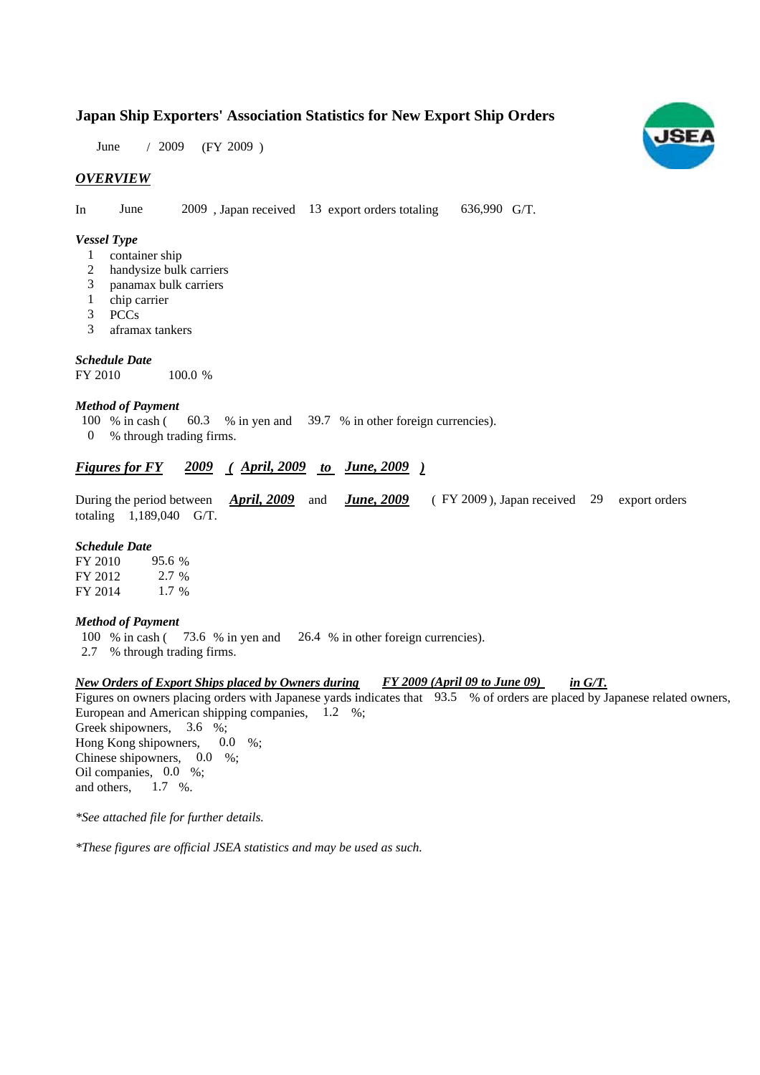### **Japan Ship Exporters' Association Statistics for New Export Ship Orders**

June / 2009 (FY 2009)

#### *OVERVIEW*

In June  $2009$ , Japan received 13 export orders totaling 636,990 G/T.

#### *Vessel Type*

- container ship 1
- handysize bulk carriers 2
- panamax bulk carriers 3
- chip carrier 1
- PCCs 3
- aframax tankers 3

#### *Schedule Date*

FY 2010 100.0 %

#### *Method of Payment*

- % in cash ( 60.3 % in yen and 39.7 % in other foreign currencies). 100  $%$  in cash (
- % through trading firms. 0

#### *Figures for FY* 2009 (April, 2009 to June, 2009)

|  |                           |  |  | During the period between <i>April, 2009</i> and <i>June, 2009</i> (FY 2009), Japan received 29 export orders |  |  |
|--|---------------------------|--|--|---------------------------------------------------------------------------------------------------------------|--|--|
|  | totaling $1,189,040$ G/T. |  |  |                                                                                                               |  |  |

#### *Schedule Date*

FY 2010 FY 2012 FY 2014 95.6 2.7 % 1.7 %

#### *Method of Payment*

- 100 % in cash (73.6 % in yen and 26.4 % in other foreign currencies).
- % through trading firms. 2.7

#### *New Orders of Export Ships placed by Owners during FY 2009 (April 09 to June 09) in G/T. FY 2009 (April 09 to June 09)*

Figures on owners placing orders with Japanese yards indicates that 93.5 % of orders are placed by Japanese related owners, European and American shipping companies, 1.2 %; Greek shipowners, 3.6 %; Hong Kong shipowners, 0.0 %; 0.0

Chinese shipowners,  $0.0\%$ ; Oil companies, 0.0 %; and others,  $1.7 \t%$ .

*\*See attached file for further details.*

*\*These figures are official JSEA statistics and may be used as such.*

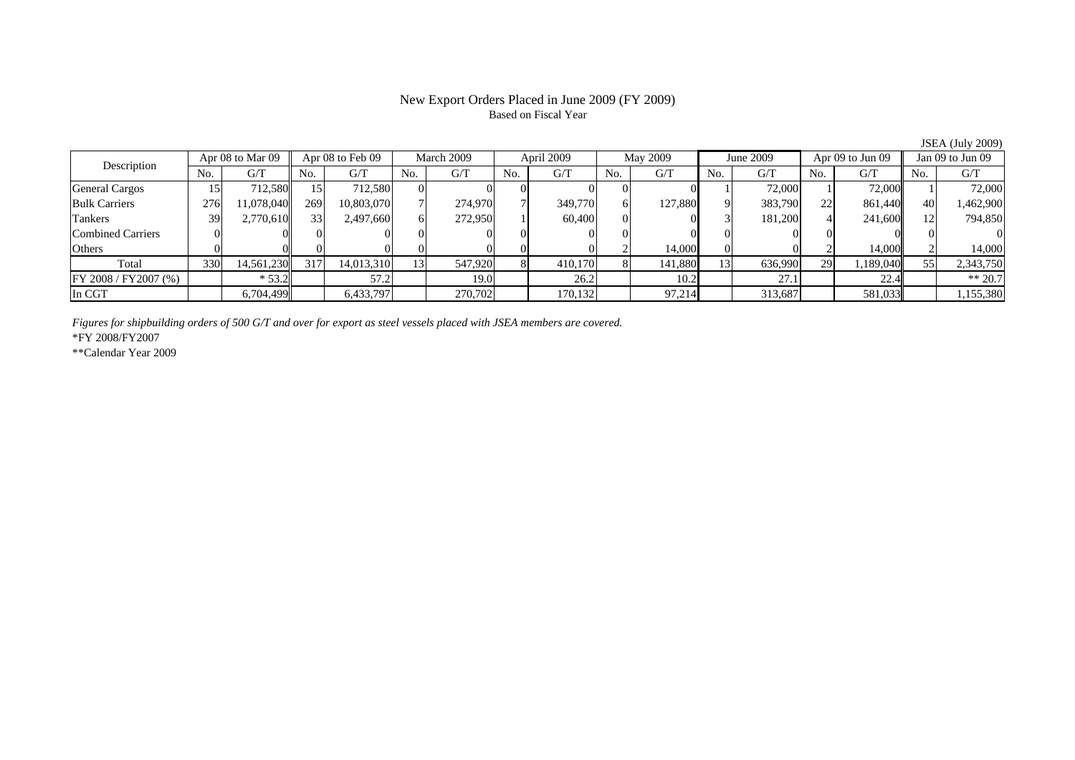# Based on Fiscal Year

No. G/T No. G/T No. G/T No. G/T No. G/T No. G/T No. G/T No. G/TGeneral Cargos | 15| 712,580|| 15| 712,580| 0| 0| 0| 0| 0| 0| 0| 1| 72,000|| 1| 72,000|| 1| 72,000 Bulk Carriers | 276| 11,078,040|| 269| 10,803,070| 7| 274,970| 7| 349,770| 6| 127,880| 9| 383,790| 22| 861,440|| 40| 1,462,900 Tankers | 39 2,770,610 33 2,497,660 6 272,950 1 60,400 0 0 3 181,200 4 241,600 12 794,850 Combined Carriers 0 0 0 0 0 0 0 0 0 0 0 0 0 0 0 0Others | 0 | 0 | 0 | 0 | 0 | 0 | 2 | 14,000 | 0 | 2 | 14,000 | 2 | 14,000 Total | 330| 14,561,230|| 317| 14,013,310| 13| 547,920| 8| 410,170| 8| 141,880| 13| 636,990| 29| 1,189,040|| 55| 2,343,750 FY 2008 / FY2007 (%) \* 53.2 57.2 19.0 26.2 10.2 27.1 22.4 \*\* 20.7 In CGT 6,704,499 6,433,797 270,702 170,132 97,214 313,687 581,033 1,155,380 Description Apr 08 to Mar 09 Apr 08 to Feb 09 March 2009 April 2009<br>No. 6/T No. 6/T No. 6/T No. 6/T No. 6/T Apr 08 to Feb 09 March 2009 April 2009 May 2009 June 2009 Apr 09 to Jun 09 Jan 09 to Jun 09

*Figures for shipbuilding orders of 500 G/T and over for export as steel vessels placed with JSEA members are covered.*

\*FY 2008/FY2007

\*\*Calendar Year 2009

JSEA (July 2009)

## New Export Orders Placed in June 2009 (FY 2009)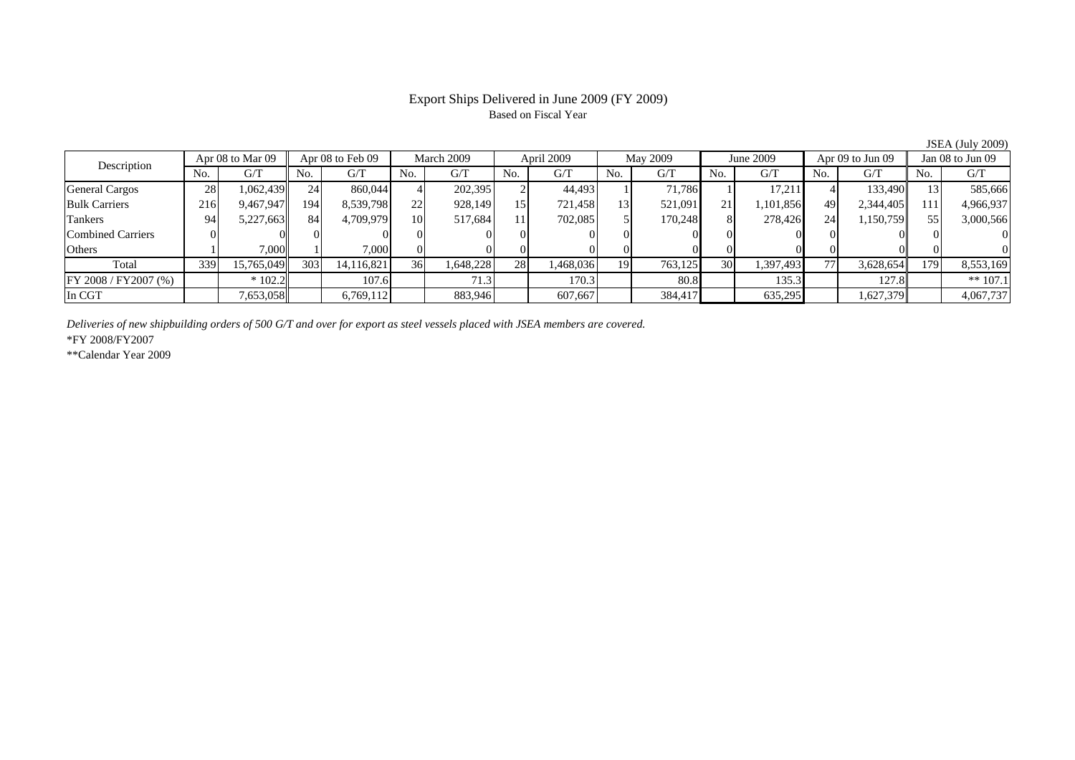#### Export Ships Delivered in June 2009 (FY 2009) Based on Fiscal Year

No. I G/T II No. I G/T II No. I G/T II No. I G/T G/T II No. I G/T II No. I G/T II No. I G/T II No. I G/T II No  $\mathrm{G}/\mathrm{T}$ General Cargos ( 28 1,062,439 24 860,044 4 202,395 2 44,493 1 71,786 1 17,211 4 133,490 13 585,666 Bulk Carriers 216 9,467,947 194 8,539,798 22 928,149 15 721,458 13 521,091 21 1,101,856 49 2,344,405 111 4,966,937 Tankers | 94| 5,227,663|| 84| 4,709,979| 10| 517,684| 11| 702,085| 5| 170,248| 8| 278,426| 24| 1,150,759|| 55| 3,000,566 Combined Carriers 0 0 0 0 0 0 0 0 0 0 0 0 0 0 0 0Others | 1 | 7,000 || 1 | 7,000 || 0 0 || 0 || 0 || 0 || 0 || 0 || 0 || 0 || 0 Total 339 15,765,049 303 14,116,821 36 1,648,228 28 1,468,036 19 763,125 30 1,397,493 77 3,628,654 179 8,553,169 FY 2008 / FY2007 (%) \* 102.2 107.6 71.3 170.3 80.8 135.3 127.8 \*\* 107.1 In CGT | | 7,653,058|| | 6,769,112 | | 883,946| | 607,667| | 384,417| | 635,295 | | 1,627,379|| | 4,067,737 Apr 08 to Mar 09 Apr 08 to Feb 09 March 2009 April 2009 May 2009 June 2009 Apr 09 to Jun 09 Jan 08 to Jun 09 Description

*Deliveries of new shipbuilding orders of 500 G/T and over for export as steel vessels placed with JSEA members are covered.*

\*FY 2008/FY2007

\*\*Calendar Year 2009

JSEA (July 2009)